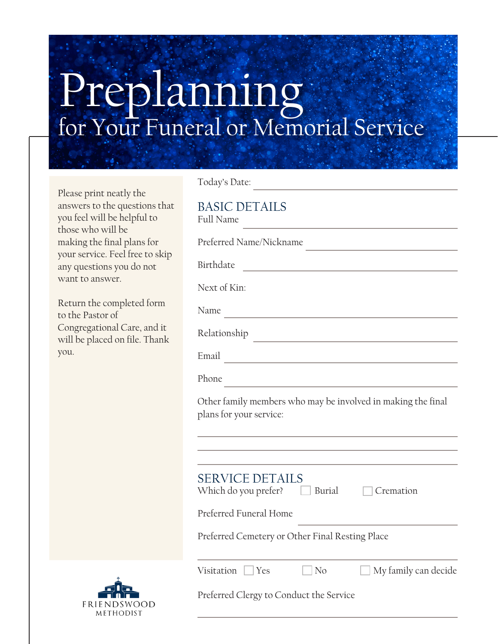# Preplanning for Your Funeral or Memorial Service

Please print neatly the answers to the questions that you feel will be helpful to those who will be making the final plans for your service. Feel free to skip any questions you do not want to answer.

Return the completed form to the Pastor of Congregational Care, and it will be placed on file. Thank you.

| <b>BASIC DETAILS</b><br><b>Full Name</b><br>the control of the control of the control of the control of                      |
|------------------------------------------------------------------------------------------------------------------------------|
| Preferred Name/Nickname                                                                                                      |
| Birthdate<br>the control of the control of the control of                                                                    |
| Next of Kin:                                                                                                                 |
| Name<br><u> 1989 - Johann Barn, mars eta bainar eta bainar eta baina eta baina eta baina eta baina eta baina eta baina e</u> |
| Relationship<br><u> 1980 - Johann Barbara, martxa alemaniar a</u>                                                            |
| Email<br><u> 1980 - Johann Barbara, martxa al III-lea (h. 1974).</u>                                                         |
| Phone                                                                                                                        |
| Other family members who may be involved in making the final<br>plans for your service:                                      |
|                                                                                                                              |
| <b>SERVICE DETAILS</b><br>Which do you prefer? $\Box$ Burial<br>Cremation                                                    |
| Preferred Funeral Home                                                                                                       |
| Preferred Cemetery or Other Final Resting Place                                                                              |
| Visitation $\Box$ Yes<br>$\Box$ No<br>My family can decide                                                                   |
| Preferred Clergy to Conduct the Service                                                                                      |

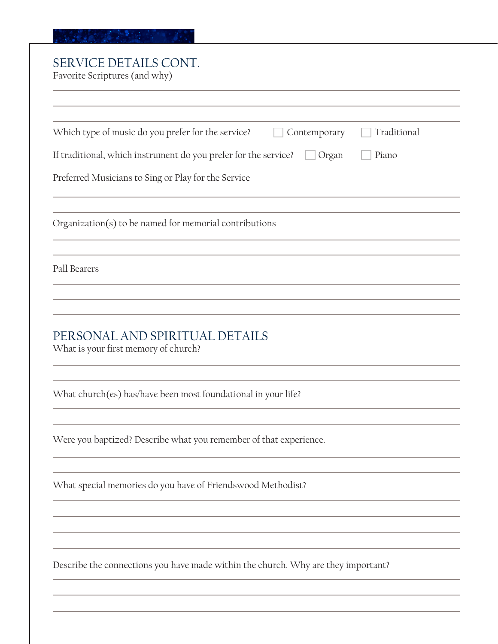#### 

# SERVICE DETAILS CONT.

Favorite Scriptures (and why)

| Which type of music do you prefer for the service?<br>Contemporary                                        | Traditional |
|-----------------------------------------------------------------------------------------------------------|-------------|
| If traditional, which instrument do you prefer for the service?<br>Organ                                  | Piano       |
| Preferred Musicians to Sing or Play for the Service                                                       |             |
| Organization(s) to be named for memorial contributions                                                    |             |
| Pall Bearers                                                                                              |             |
| PERSONAL AND SPIRITUAL DETAILS                                                                            |             |
|                                                                                                           |             |
|                                                                                                           |             |
| What church(es) has/have been most foundational in your life?                                             |             |
| What is your first memory of church?<br>Were you baptized? Describe what you remember of that experience. |             |
| What special memories do you have of Friendswood Methodist?                                               |             |
|                                                                                                           |             |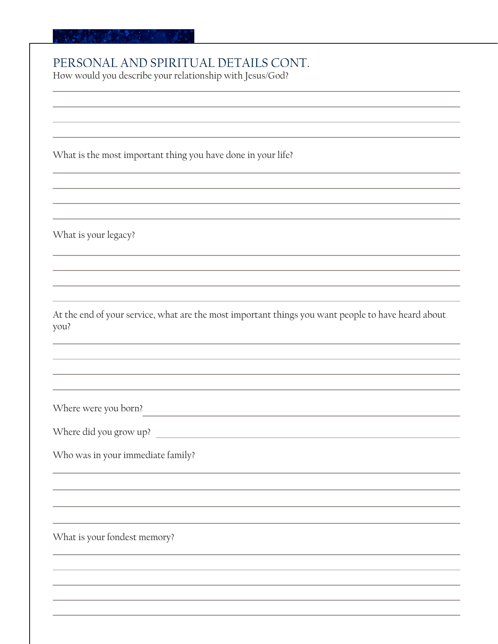### PERSONAL AND SPIRITUAL DETAILS CONT.

How would you describe your relationship with Jesus/God?

What is the most important thing you have done in your life?

What is your legacy?

At the end of your service, what are the most important things you want people to have heard about you?

<u> 1989 - Johann Barbara, martxa al III-lea (h. 1989).</u>

Where were you born?

Where did you grow up?

Who was in your immediate family?

What is your fondest memory?